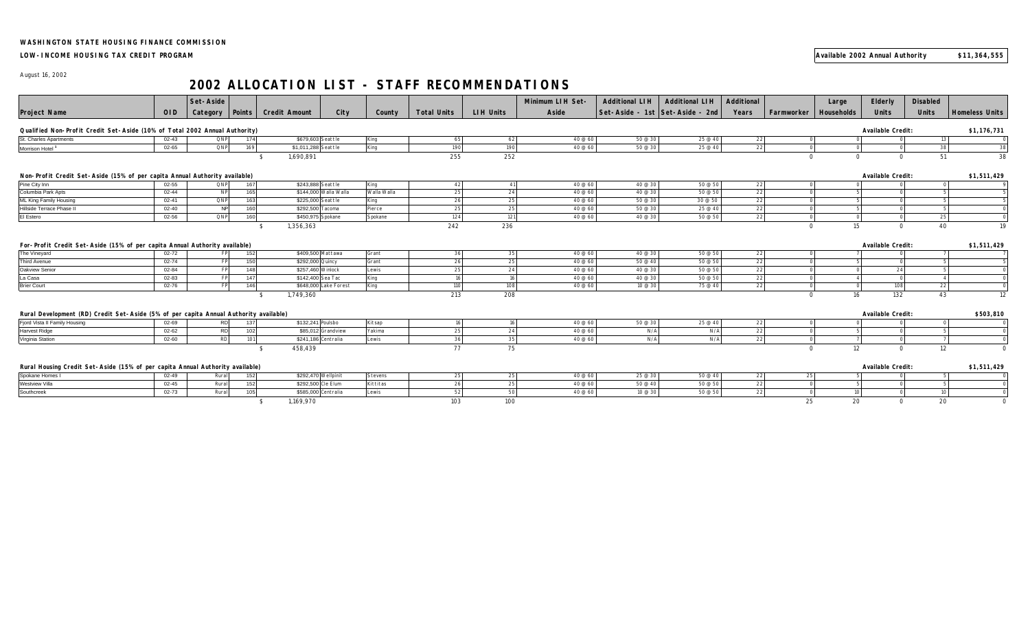## **LOW-INCOME HOUSING TAX CREDIT PROGRAM Available 2002 Annual Authority \$11,364,555**

August 16, 2002

## **2002 ALLOCATION LIST - STAFF RECOMMENDATIONS**

|                                                                                       |            | Set-Aside  |        |                      |                       |             |                    |                  | Minimum LIH Set- | <b>Additional LIH</b> | <b>Additional LIH</b>           | Additional        |                          | Large       | Elderly                  | <b>Disabled</b> |                       |
|---------------------------------------------------------------------------------------|------------|------------|--------|----------------------|-----------------------|-------------|--------------------|------------------|------------------|-----------------------|---------------------------------|-------------------|--------------------------|-------------|--------------------------|-----------------|-----------------------|
| <b>Project Name</b>                                                                   | <b>OID</b> | Category   | Points | <b>Credit Amount</b> | City                  | County      | <b>Total Units</b> | <b>LIH Units</b> | Aside            |                       | Set-Aside - 1st Set-Aside - 2nd | Years             | Farmworker               | Households  | <b>Units</b>             | <b>Units</b>    | <b>Homeless Units</b> |
| Qualified Non-Profit Credit Set-Aside (10% of Total 2002 Annual Authority)            |            |            |        |                      |                       |             |                    |                  |                  |                       |                                 | Available Credit: |                          | \$1,176,731 |                          |                 |                       |
| St. Charles Apartments                                                                | $02 - 43$  | QNP        | 174    | \$679,603 Seattle    |                       | King        | 65                 | 62               | 40 @ 60          | 50 @ 30               | 25 @ 40                         | 22                | $\cap$                   |             |                          | 13              |                       |
| Morrison Hotel                                                                        | $02 - 65$  | <b>QNP</b> | 169    | \$1,011,288 Seattle  |                       | King        | 190                | 190              | 40 @ 60          | 50 @ 30               | 25 @ 40                         | 22                | $\cap$                   |             | $\Omega$                 | 38              | 38                    |
|                                                                                       |            |            |        | 1,690,891            |                       |             | 255                | 252              |                  |                       |                                 |                   | $\Omega$                 | $\Omega$    | $\Omega$                 | 51              | 38                    |
|                                                                                       |            |            |        |                      |                       |             |                    |                  |                  |                       |                                 |                   |                          |             |                          |                 |                       |
| Non-Profit Credit Set-Aside (15% of per capita Annual Authority available)            |            |            |        |                      |                       |             |                    |                  |                  |                       |                                 |                   | <b>Available Credit:</b> |             | \$1,511,429              |                 |                       |
| Pine City Inn                                                                         | $02 - 55$  | QNP        | 167    | \$243,888 Seattle    |                       | King        | 42                 | 41               | 40 @ 60          | 40 @ 30               | 50 @ 50                         | 22                |                          |             |                          | $\Omega$        |                       |
| Columbia Park Apts                                                                    | $02 - 44$  | <b>NP</b>  | 165    |                      | \$144,000 Walla Walla | Walla Walla | 25                 | 24               | 40 @ 60          | 40 @ 30               | 50 @ 50                         | 22                |                          |             |                          | 片               |                       |
| <b>ML King Family Housing</b>                                                         | $02 - 41$  | QNP        | 163    | \$225,000 Seattle    |                       | King        | 26                 | 25               | 40 @ 60          | 50 @ 30               | 30 @ 50                         | 22                |                          |             |                          |                 |                       |
| Hillside Terrace Phase II                                                             | $02 - 40$  | N          | 160    | \$292,500 Tacoma     |                       | Pierce      | 25                 | 25               | 40 @ 60          | 50 @ 30               | 25 @ 40                         | 22                |                          |             |                          |                 |                       |
| El Estero                                                                             | 02-56      | QNP        | 160    | \$450,975 Spokane    |                       | Spokane     | 124                | 121              | 40 @ 60          | 40 @ 30               | 50 @ 50                         | 22                |                          |             |                          | 25              |                       |
|                                                                                       |            |            |        | 1,356,363            |                       |             | 242                | 236              |                  |                       |                                 |                   | $\Omega$                 | 15          | $\Omega$                 | 40              | 19                    |
|                                                                                       |            |            |        |                      |                       |             |                    |                  |                  |                       |                                 |                   |                          |             |                          |                 |                       |
| For-Profit Credit Set-Aside (15% of per capita Annual Authority available)            |            |            |        |                      |                       |             |                    |                  |                  |                       |                                 |                   |                          |             | Available Credit:        |                 | \$1,511,429           |
| The Vineyard                                                                          | $02 - 72$  | FP         | 152    | \$409,500 Mattawa    |                       | Grant       | 36                 | 35               | 40 @ 60          | 40 @ 30               | 50 @ 50                         | 22                |                          |             |                          |                 |                       |
| <b>Third Avenue</b>                                                                   | $02 - 74$  | <b>FP</b>  | 150    | \$292,000 Quincy     |                       | Grant       | 26                 | 25               | 40 @ 60          | 50 @ 40               | 50 @ 50                         | 22                |                          |             |                          |                 |                       |
| Oakview Senior                                                                        | 02-84      | FP         | 148    | \$257,460 Winlock    |                       | Lewis       | 25                 | 24               | 40 @ 60          | 40 @ 30               | 50 @ 50                         | 22                |                          |             | 24                       |                 |                       |
| La Casa                                                                               | 02-83      | <b>FP</b>  | 147    | \$142,400 Sea Tac    |                       | King        | 16                 | 16               | 40 @ 60          | 40 @ 30               | 50 @ 50                         | 22                | $\cap$                   |             | $\Omega$                 |                 |                       |
| <b>Brier Court</b>                                                                    | 02-76      | <b>FP</b>  | 146    |                      | \$648,000 Lake Forest | King        | 110                | 108              | 40 @ 60          | 10 @ 30               | 75 @ 40                         | 22                | $\Omega$                 |             | 108                      | 22              |                       |
|                                                                                       |            |            |        | 1,749,360            |                       |             | 213                | 208              |                  |                       |                                 |                   | $\Omega$                 | 16          | 132                      | 43              | 12                    |
|                                                                                       |            |            |        |                      |                       |             |                    |                  |                  |                       |                                 |                   |                          |             |                          |                 |                       |
| Rural Development (RD) Credit Set-Aside (5% of per capita Annual Authority available) |            |            |        |                      |                       |             |                    |                  |                  |                       |                                 |                   |                          |             | Available Credit:        |                 | \$503,810             |
| Fjord Vista II Family Housing                                                         | $02 - 69$  | <b>RD</b>  | 137    | \$132,241 Poulsbo    |                       | Kitsap      | 16                 | 16               | 40 @ 60          | 50 @ 30               | 25 @ 40                         | 22                |                          |             |                          |                 |                       |
| <b>Harvest Ridge</b>                                                                  | $02 - 62$  | <b>RD</b>  | 102    |                      | \$85,012 Grandview    | Yakima      | 25                 | 24               | 40 @ 60          | N/A                   | N/A                             | 22                |                          |             |                          |                 |                       |
| Virginia Station                                                                      | 02-60      | <b>RD</b>  | 101    | \$241,186 Centralia  |                       | Lewis       | 36                 | 35               | 40 @ 60          | N/A                   | N/A                             | 22                |                          |             |                          |                 |                       |
|                                                                                       |            |            |        | 458,439              |                       |             | 77                 | 75               |                  |                       |                                 |                   | $\Omega$                 | 12          | $\Omega$                 | 12              |                       |
|                                                                                       |            |            |        |                      |                       |             |                    |                  |                  |                       |                                 |                   |                          |             |                          |                 |                       |
| Rural Housing Credit Set-Aside (15% of per capita Annual Authority available)         |            |            |        |                      |                       |             |                    |                  |                  |                       |                                 |                   |                          |             | <b>Available Credit:</b> |                 | \$1,511,429           |
| Spokane Homes I                                                                       | $02 - 49$  | Rural      | 152    | \$292,470 Wellpinit  |                       | Stevens     | 25                 | 25               | 40 @ 60          | 25 @ 30               | 50 @ 40                         | 22                | 25                       |             |                          |                 |                       |
| Westview Villa                                                                        | $02 - 45$  | Rural      | 152    | \$292,500 Cle Elum   |                       | Kittitas    | 26                 | 25               | 40 @ 60          | 50 @ 40               | 50 @ 50                         | 22                |                          |             |                          |                 |                       |
| Southcreek                                                                            | 02-73      | Rural      | 105    | \$585,000 Centralia  |                       | Lewis       | 52                 | 50               | 40 @ 60          | 10@30                 | 50 @ 50                         | 22                | $\cap$                   |             |                          | 10 <sup>1</sup> |                       |
|                                                                                       |            |            |        | 1,169,970            |                       |             | 103                | 100              |                  |                       |                                 |                   | 25                       | 20          | $\Omega$                 | 20              |                       |